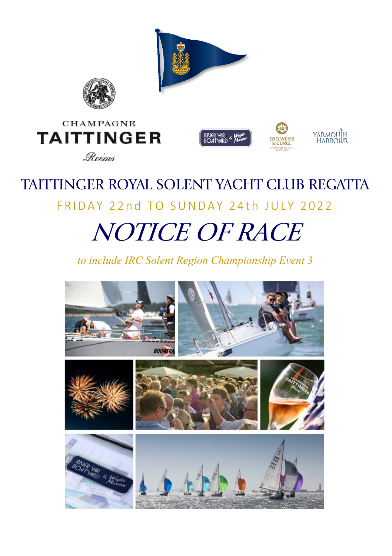

# FRIDAY 22nd TO SUNDAY 24th JULY 2022

## **NOTICE OF RACE**

*to include IRC Solent Region Championship Event 3* 

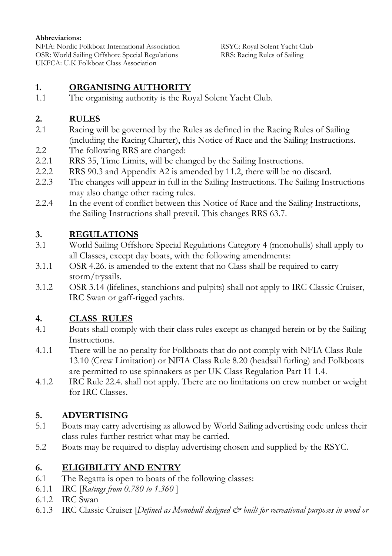#### **Abbreviations:**

NFIA: Nordic Folkboat International Association RSYC: Royal Solent Yacht Club OSR: World Sailing Offshore Special Regulations UKFCA: U.K Folkboat Class Association

#### **1. ORGANISING AUTHORITY**

1.1 The organising authority is the Royal Solent Yacht Club.

#### **2. RULES**

- 2.1 Racing will be governed by the Rules as defined in the Racing Rules of Sailing (including the Racing Charter), this Notice of Race and the Sailing Instructions.
- 2.2 The following RRS are changed:
- 2.2.1 RRS 35, Time Limits, will be changed by the Sailing Instructions.
- 2.2.2 RRS 90.3 and Appendix A2 is amended by 11.2, there will be no discard.
- 2.2.3 The changes will appear in full in the Sailing Instructions. The Sailing Instructions may also change other racing rules.
- 2.2.4 In the event of conflict between this Notice of Race and the Sailing Instructions, the Sailing Instructions shall prevail. This changes RRS 63.7.

#### **3. REGULATIONS**

- 3.1 World Sailing Offshore Special Regulations Category 4 (monohulls) shall apply to all Classes, except day boats, with the following amendments:
- 3.1.1 OSR 4.26. is amended to the extent that no Class shall be required to carry storm/trysails.
- 3.1.2 OSR 3.14 (lifelines, stanchions and pulpits) shall not apply to IRC Classic Cruiser, IRC Swan or gaff-rigged yachts.

#### **4. CLASS RULES**

- 4.1 Boats shall comply with their class rules except as changed herein or by the Sailing Instructions.
- 4.1.1 There will be no penalty for Folkboats that do not comply with NFIA Class Rule 13.10 (Crew Limitation) or NFIA Class Rule 8.20 (headsail furling) and Folkboats are permitted to use spinnakers as per UK Class Regulation Part 11 1.4.
- 4.1.2 IRC Rule 22.4. shall not apply. There are no limitations on crew number or weight for IRC Classes.

#### **5. ADVERTISING**

- 5.1 Boats may carry advertising as allowed by World Sailing advertising code unless their class rules further restrict what may be carried.
- 5.2 Boats may be required to display advertising chosen and supplied by the RSYC.

#### **6. ELIGIBILITY AND ENTRY**

- 6.1 The Regatta is open to boats of the following classes:
- 6.1.1 IRC [*Ratings from 0.780 to 1.360* ]
- 6.1.2 IRC Swan
- 6.1.3 IRC Classic Cruiser [*Defined as Monohull designed & built for recreational purposes in wood or*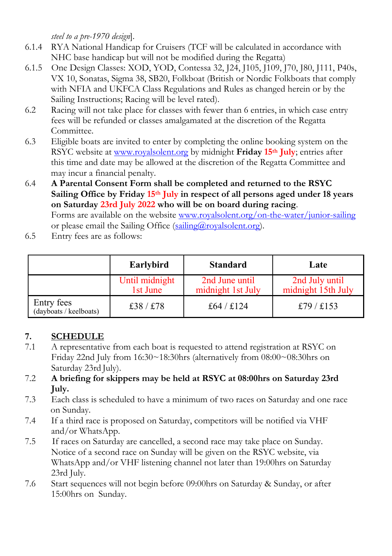*steel to a pre-1970 design*].

- 6.1.4 RYA National Handicap for Cruisers (TCF will be calculated in accordance with NHC base handicap but will not be modified during the Regatta)
- 6.1.5 One Design Classes: XOD, YOD, Contessa 32, J24, J105, J109, J70, J80, J111, P40s, VX 10, Sonatas, Sigma 38, SB20, Folkboat (British or Nordic Folkboats that comply with NFIA and UKFCA Class Regulations and Rules as changed herein or by the Sailing Instructions; Racing will be level rated).
- 6.2 Racing will not take place for classes with fewer than 6 entries, in which case entry fees will be refunded or classes amalgamated at the discretion of the Regatta Committee.
- 6.3 Eligible boats are invited to enter by completing the online booking system on the RSYC website at [www.royalsolent.org](http://www.royalsolent.org) by midnight **Friday 15th July**; entries after this time and date may be allowed at the discretion of the Regatta Committee and may incur a financial penalty.
- 6.4 **A Parental Consent Form shall be completed and returned to the RSYC Sailing Office by Friday 15th July in respect of all persons aged under 18 years on Saturday 23rd July 2022 who will be on board during racing**. Forms are available on the website [www.royalsolent.org/on-the-water/junior-sailing](https://www.royalsolent.org/on-the-water/junior-sailing/) or please email the Sailing Office (sailing  $\omega$  royalsolent.org).
- 6.5 Entry fees are as follows:

|                                      | Earlybird                  | <b>Standard</b>                     | Late                                 |
|--------------------------------------|----------------------------|-------------------------------------|--------------------------------------|
|                                      | Until midnight<br>1st June | 2nd June until<br>midnight 1st July | 2nd July until<br>midnight 15th July |
| Entry fees<br>(dayboats / keelboats) | £38/£78                    | £64/£124                            | £79/£153                             |

#### **7. SCHEDULE**

- 7.1 A representative from each boat is requested to attend registration at RSYC on Friday 22nd July from 16:30~18:30hrs (alternatively from 08:00~08:30hrs on Saturday 23rd July).
- 7.2 **A briefing for skippers may be held at RSYC at 08:00hrs on Saturday 23rd July.**
- 7.3 Each class is scheduled to have a minimum of two races on Saturday and one race on Sunday.
- 7.4 If a third race is proposed on Saturday, competitors will be notified via VHF and/or WhatsApp.
- 7.5 If races on Saturday are cancelled, a second race may take place on Sunday. Notice of a second race on Sunday will be given on the RSYC website, via WhatsApp and/or VHF listening channel not later than 19:00hrs on Saturday 23rd July.
- 7.6 Start sequences will not begin before 09:00hrs on Saturday & Sunday, or after 15:00hrs on Sunday.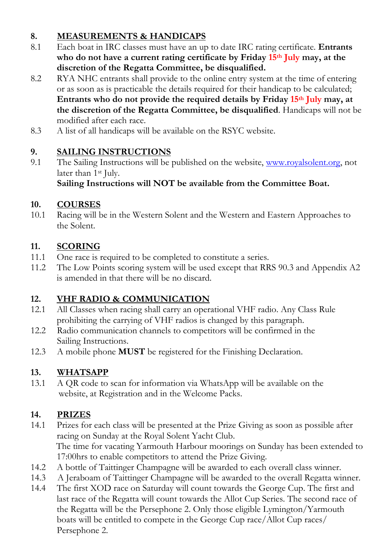#### **8. MEASUREMENTS & HANDICAPS**

- 8.1 Each boat in IRC classes must have an up to date IRC rating certificate. **Entrants who do not have a current rating certificate by Friday 15th July may, at the discretion of the Regatta Committee, be disqualified.**
- 8.2 RYA NHC entrants shall provide to the online entry system at the time of entering or as soon as is practicable the details required for their handicap to be calculated; **Entrants who do not provide the required details by Friday 15th July may, at the discretion of the Regatta Committee, be disqualified**. Handicaps will not be modified after each race.
- 8.3 A list of all handicaps will be available on the RSYC website.

#### **9. SAILING INSTRUCTIONS**

9.1 The Sailing Instructions will be published on the website, [www.royalsolent.org,](http://www.royalsolent.org) not later than 1st July.

**Sailing Instructions will NOT be available from the Committee Boat.**

#### **10. COURSES**

10.1 Racing will be in the Western Solent and the Western and Eastern Approaches to the Solent.

#### **11. SCORING**

- 11.1 One race is required to be completed to constitute a series.
- 11.2 The Low Points scoring system will be used except that RRS 90.3 and Appendix A2 is amended in that there will be no discard.

#### **12. VHF RADIO & COMMUNICATION**

- 12.1 All Classes when racing shall carry an operational VHF radio. Any Class Rule prohibiting the carrying of VHF radios is changed by this paragraph.
- 12.2 Radio communication channels to competitors will be confirmed in the Sailing Instructions.
- 12.3 A mobile phone **MUST** be registered for the Finishing Declaration.

#### **13. WHATSAPP**

13.1 A QR code to scan for information via WhatsApp will be available on the website, at Registration and in the Welcome Packs.

#### **14. PRIZES**

- 14.1 Prizes for each class will be presented at the Prize Giving as soon as possible after racing on Sunday at the Royal Solent Yacht Club. The time for vacating Yarmouth Harbour moorings on Sunday has been extended to 17:00hrs to enable competitors to attend the Prize Giving.
- 14.2 A bottle of Taittinger Champagne will be awarded to each overall class winner.
- 14.3 A Jeraboam of Taittinger Champagne will be awarded to the overall Regatta winner.
- 14.4 The first XOD race on Saturday will count towards the George Cup. The first and last race of the Regatta will count towards the Allot Cup Series. The second race of the Regatta will be the Persephone 2. Only those eligible Lymington/Yarmouth boats will be entitled to compete in the George Cup race/Allot Cup races/ Persephone 2.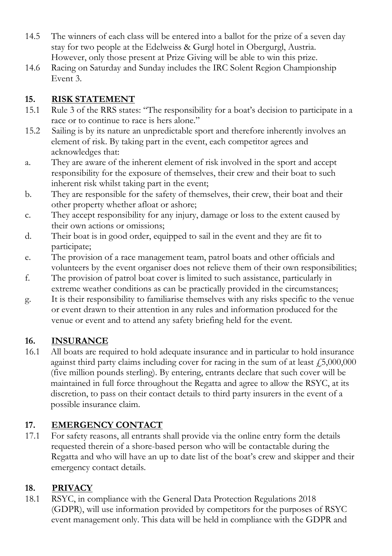- 14.5 The winners of each class will be entered into a ballot for the prize of a seven day stay for two people at the Edelweiss & Gurgl hotel in Obergurgl, Austria. However, only those present at Prize Giving will be able to win this prize.
- 14.6 Racing on Saturday and Sunday includes the IRC Solent Region Championship Event 3.

#### **15. RISK STATEMENT**

- 15.1 Rule 3 of the RRS states: "The responsibility for a boat's decision to participate in a race or to continue to race is hers alone."
- 15.2 Sailing is by its nature an unpredictable sport and therefore inherently involves an element of risk. By taking part in the event, each competitor agrees and acknowledges that:
- a. They are aware of the inherent element of risk involved in the sport and accept responsibility for the exposure of themselves, their crew and their boat to such inherent risk whilst taking part in the event;
- b. They are responsible for the safety of themselves, their crew, their boat and their other property whether afloat or ashore;
- c. They accept responsibility for any injury, damage or loss to the extent caused by their own actions or omissions;
- d. Their boat is in good order, equipped to sail in the event and they are fit to participate;
- e. The provision of a race management team, patrol boats and other officials and volunteers by the event organiser does not relieve them of their own responsibilities;
- f. The provision of patrol boat cover is limited to such assistance, particularly in extreme weather conditions as can be practically provided in the circumstances;
- g. It is their responsibility to familiarise themselves with any risks specific to the venue or event drawn to their attention in any rules and information produced for the venue or event and to attend any safety briefing held for the event.

#### **16. INSURANCE**

16.1 All boats are required to hold adequate insurance and in particular to hold insurance against third party claims including cover for racing in the sum of at least  $f_{0.5000,000}$ (five million pounds sterling). By entering, entrants declare that such cover will be maintained in full force throughout the Regatta and agree to allow the RSYC, at its discretion, to pass on their contact details to third party insurers in the event of a possible insurance claim.

#### **17. EMERGENCY CONTACT**

17.1 For safety reasons, all entrants shall provide via the online entry form the details requested therein of a shore-based person who will be contactable during the Regatta and who will have an up to date list of the boat's crew and skipper and their emergency contact details.

#### **18. PRIVACY**

18.1 RSYC, in compliance with the General Data Protection Regulations 2018 (GDPR), will use information provided by competitors for the purposes of RSYC event management only. This data will be held in compliance with the GDPR and